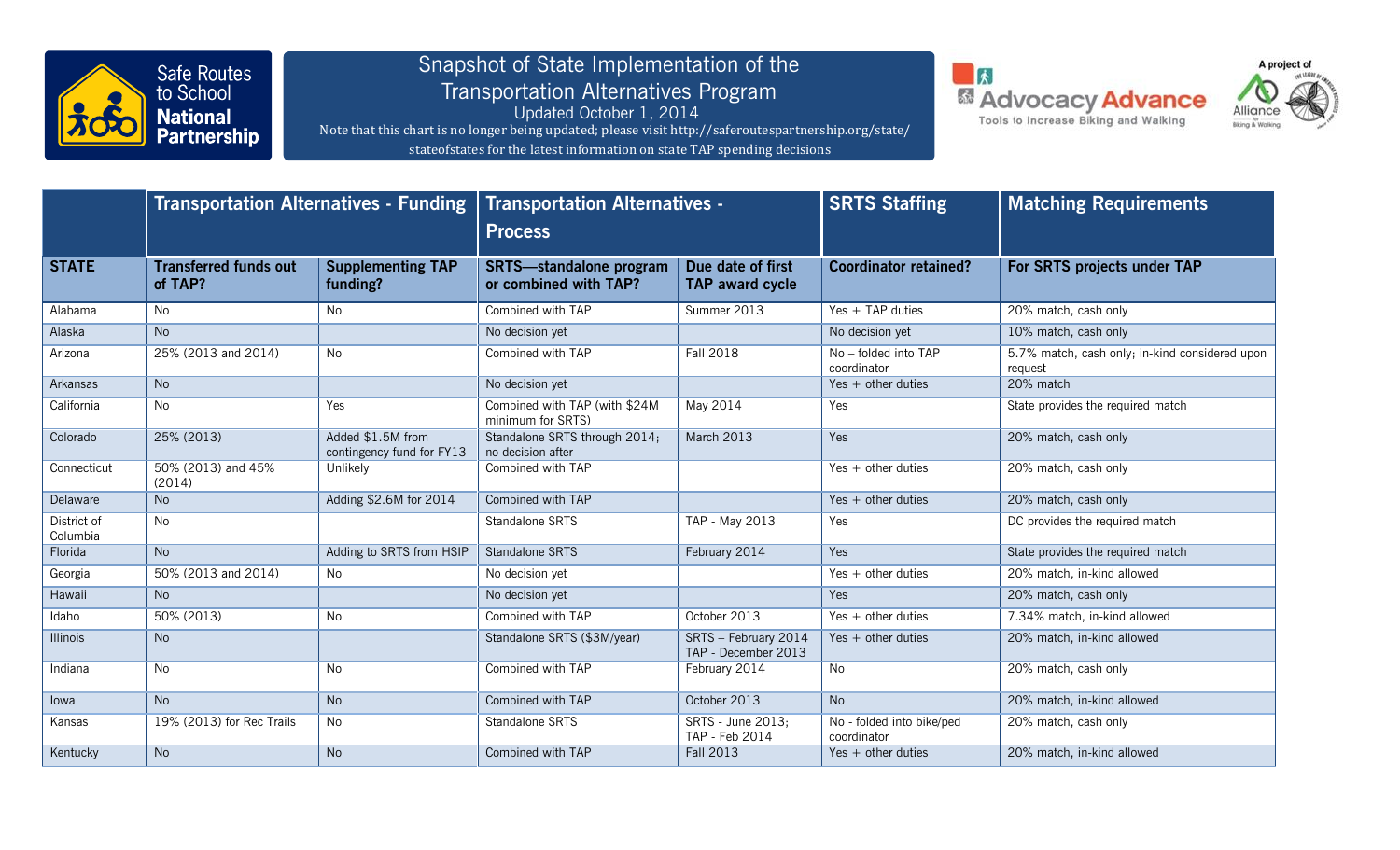

## Snapshot of State Implementation of the Transportation Alternatives Program

Updated October 1, 2014 Note that this chart is no longer being updated; please visit http://saferoutespartnership.org/state/ stateofstates for the latest information on state TAP spending decisions





|                         | <b>Transportation Alternatives - Funding</b> |                                                | <b>Transportation Alternatives -</b><br><b>Process</b>  |                                             | <b>SRTS Staffing</b>                     | <b>Matching Requirements</b>                              |
|-------------------------|----------------------------------------------|------------------------------------------------|---------------------------------------------------------|---------------------------------------------|------------------------------------------|-----------------------------------------------------------|
| <b>STATE</b>            | <b>Transferred funds out</b><br>of TAP?      | <b>Supplementing TAP</b><br>funding?           | <b>SRTS-standalone program</b><br>or combined with TAP? | Due date of first<br><b>TAP award cycle</b> | <b>Coordinator retained?</b>             | For SRTS projects under TAP                               |
| Alabama                 | No                                           | <b>No</b>                                      | Combined with TAP                                       | Summer 2013                                 | Yes $+$ TAP duties                       | 20% match, cash only                                      |
| Alaska                  | <b>No</b>                                    |                                                | No decision yet                                         |                                             | No decision yet                          | 10% match, cash only                                      |
| Arizona                 | 25% (2013 and 2014)                          | <b>No</b>                                      | Combined with TAP                                       | <b>Fall 2018</b>                            | No - folded into TAP<br>coordinator      | 5.7% match, cash only; in-kind considered upon<br>request |
| Arkansas                | <b>No</b>                                    |                                                | No decision yet                                         |                                             | $Yes + other duties$                     | 20% match                                                 |
| California              | No                                           | Yes                                            | Combined with TAP (with \$24M<br>minimum for SRTS)      | May 2014                                    | Yes                                      | State provides the required match                         |
| Colorado                | 25% (2013)                                   | Added \$1.5M from<br>contingency fund for FY13 | Standalone SRTS through 2014;<br>no decision after      | <b>March 2013</b>                           | Yes                                      | 20% match, cash only                                      |
| Connecticut             | 50% (2013) and 45%<br>(2014)                 | Unlikely                                       | Combined with TAP                                       |                                             | $Yes + other duties$                     | 20% match, cash only                                      |
| Delaware                | <b>No</b>                                    | Adding \$2.6M for 2014                         | Combined with TAP                                       |                                             | $Yes + other duties$                     | 20% match, cash only                                      |
| District of<br>Columbia | No                                           |                                                | Standalone SRTS                                         | <b>TAP - May 2013</b>                       | Yes                                      | DC provides the required match                            |
| Florida                 | <b>No</b>                                    | Adding to SRTS from HSIP                       | Standalone SRTS                                         | February 2014                               | Yes                                      | State provides the required match                         |
| Georgia                 | 50% (2013 and 2014)                          | No                                             | No decision yet                                         |                                             | $Yes + other duties$                     | 20% match, in-kind allowed                                |
| Hawaii                  | <b>No</b>                                    |                                                | No decision yet                                         |                                             | Yes                                      | 20% match, cash only                                      |
| Idaho                   | 50% (2013)                                   | No                                             | Combined with TAP                                       | October 2013                                | Yes $+$ other duties                     | 7.34% match, in-kind allowed                              |
| <b>Illinois</b>         | <b>No</b>                                    |                                                | Standalone SRTS (\$3M/year)                             | SRTS - February 2014<br>TAP - December 2013 | $Yes + other duties$                     | 20% match, in-kind allowed                                |
| Indiana                 | No                                           | No                                             | Combined with TAP                                       | February 2014                               | No                                       | 20% match, cash only                                      |
| lowa                    | <b>No</b>                                    | <b>No</b>                                      | Combined with TAP                                       | October 2013                                | <b>No</b>                                | 20% match, in-kind allowed                                |
| Kansas                  | 19% (2013) for Rec Trails                    | <b>No</b>                                      | Standalone SRTS                                         | SRTS - June 2013;<br>TAP - Feb 2014         | No - folded into bike/ped<br>coordinator | 20% match, cash only                                      |
| Kentucky                | <b>No</b>                                    | No                                             | Combined with TAP                                       | <b>Fall 2013</b>                            | Yes $+$ other duties                     | 20% match, in-kind allowed                                |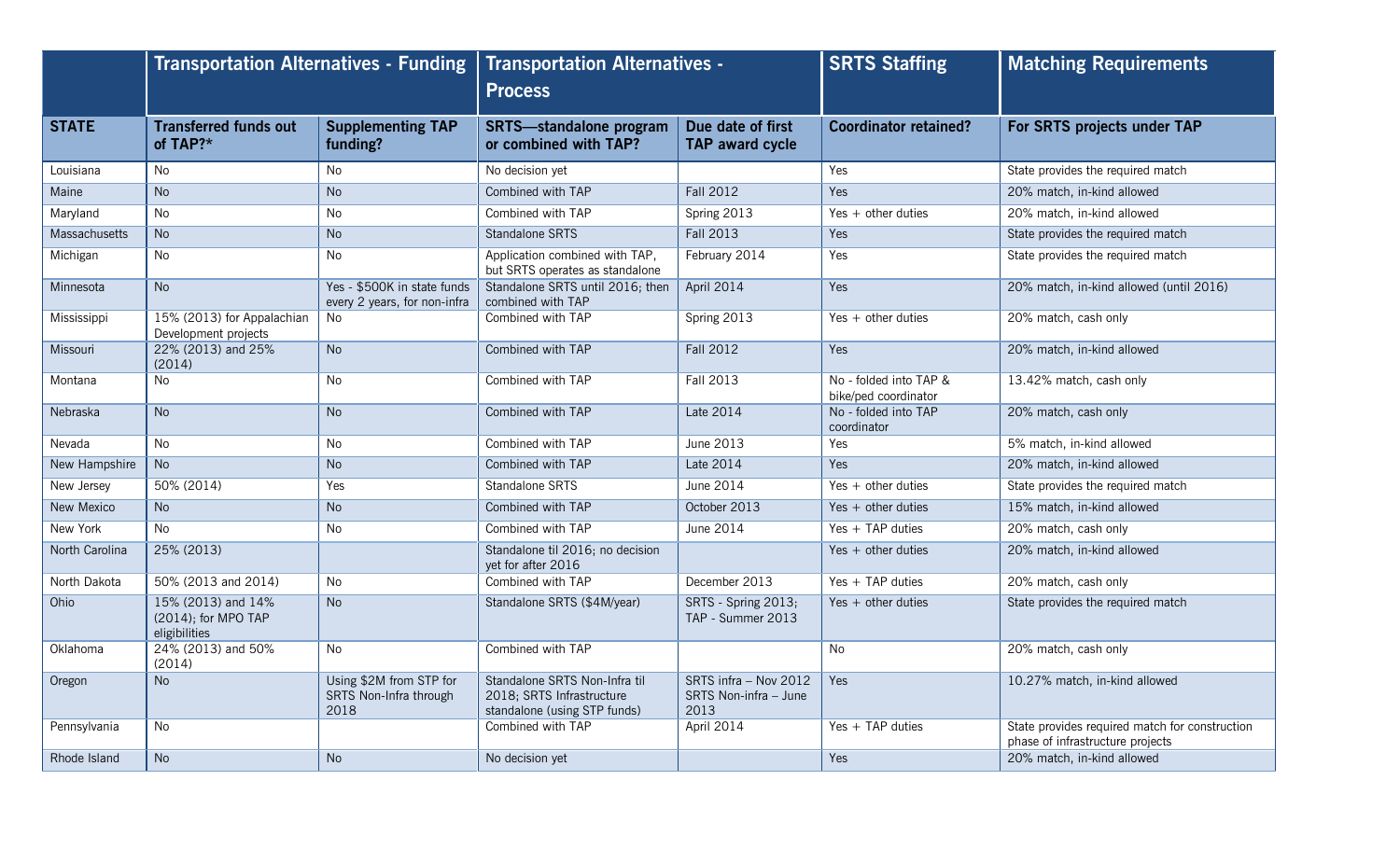|                   | <b>Transportation Alternatives - Funding</b>               |                                                             | <b>Transportation Alternatives -</b><br><b>Process</b>                                     |                                                        | <b>SRTS Staffing</b>                           | <b>Matching Requirements</b>                                                       |
|-------------------|------------------------------------------------------------|-------------------------------------------------------------|--------------------------------------------------------------------------------------------|--------------------------------------------------------|------------------------------------------------|------------------------------------------------------------------------------------|
| <b>STATE</b>      | <b>Transferred funds out</b><br>of TAP?*                   | <b>Supplementing TAP</b><br>funding?                        | <b>SRTS-standalone program</b><br>or combined with TAP?                                    | Due date of first<br><b>TAP award cycle</b>            | <b>Coordinator retained?</b>                   | For SRTS projects under TAP                                                        |
| Louisiana         | <b>No</b>                                                  | No                                                          | No decision yet                                                                            |                                                        | Yes                                            | State provides the required match                                                  |
| Maine             | <b>No</b>                                                  | <b>No</b>                                                   | Combined with TAP                                                                          | <b>Fall 2012</b>                                       | Yes                                            | 20% match, in-kind allowed                                                         |
| Maryland          | <b>No</b>                                                  | No                                                          | Combined with TAP                                                                          | Spring 2013                                            | Yes $+$ other duties                           | 20% match, in-kind allowed                                                         |
| Massachusetts     | <b>No</b>                                                  | <b>No</b>                                                   | Standalone SRTS                                                                            | <b>Fall 2013</b>                                       | Yes                                            | State provides the required match                                                  |
| Michigan          | N <sub>o</sub>                                             | No                                                          | Application combined with TAP,<br>but SRTS operates as standalone                          | February 2014                                          | Yes                                            | State provides the required match                                                  |
| Minnesota         | <b>No</b>                                                  | Yes - \$500K in state funds<br>every 2 years, for non-infra | Standalone SRTS until 2016; then<br>combined with TAP                                      | April 2014                                             | <b>Yes</b>                                     | 20% match, in-kind allowed (until 2016)                                            |
| Mississippi       | 15% (2013) for Appalachian<br>Development projects         | No                                                          | Combined with TAP                                                                          | Spring 2013                                            | Yes $+$ other duties                           | 20% match, cash only                                                               |
| Missouri          | 22% (2013) and 25%<br>(2014)                               | <b>No</b>                                                   | Combined with TAP                                                                          | <b>Fall 2012</b>                                       | Yes                                            | 20% match, in-kind allowed                                                         |
| Montana           | No                                                         | No                                                          | Combined with TAP                                                                          | <b>Fall 2013</b>                                       | No - folded into TAP &<br>bike/ped coordinator | 13.42% match, cash only                                                            |
| <b>Nebraska</b>   | <b>No</b>                                                  | <b>No</b>                                                   | Combined with TAP                                                                          | Late 2014                                              | No - folded into TAP<br>coordinator            | 20% match, cash only                                                               |
| Nevada            | <b>No</b>                                                  | No                                                          | Combined with TAP                                                                          | June 2013                                              | <b>Yes</b>                                     | 5% match, in-kind allowed                                                          |
| New Hampshire     | <b>No</b>                                                  | <b>No</b>                                                   | Combined with TAP                                                                          | <b>Late 2014</b>                                       | Yes                                            | 20% match, in-kind allowed                                                         |
| New Jersey        | 50% (2014)                                                 | Yes                                                         | Standalone SRTS                                                                            | <b>June 2014</b>                                       | Yes $+$ other duties                           | State provides the required match                                                  |
| <b>New Mexico</b> | <b>No</b>                                                  | <b>No</b>                                                   | Combined with TAP                                                                          | October 2013                                           | Yes $+$ other duties                           | 15% match, in-kind allowed                                                         |
| New York          | <b>No</b>                                                  | No                                                          | Combined with TAP                                                                          | June 2014                                              | Yes $+$ TAP duties                             | 20% match, cash only                                                               |
| North Carolina    | 25% (2013)                                                 |                                                             | Standalone til 2016; no decision<br>yet for after 2016                                     |                                                        | Yes $+$ other duties                           | 20% match, in-kind allowed                                                         |
| North Dakota      | 50% (2013 and 2014)                                        | No                                                          | Combined with TAP                                                                          | December 2013                                          | $Yes + TAP$ duties                             | 20% match, cash only                                                               |
| Ohio              | 15% (2013) and 14%<br>(2014); for MPO TAP<br>eligibilities | <b>No</b>                                                   | Standalone SRTS (\$4M/year)                                                                | SRTS - Spring 2013;<br>TAP - Summer 2013               | $Yes + other duties$                           | State provides the required match                                                  |
| Oklahoma          | 24% (2013) and 50%<br>(2014)                               | No.                                                         | Combined with TAP                                                                          |                                                        | No                                             | 20% match, cash only                                                               |
| Oregon            | <b>No</b>                                                  | Using \$2M from STP for<br>SRTS Non-Infra through<br>2018   | Standalone SRTS Non-Infra til<br>2018; SRTS Infrastructure<br>standalone (using STP funds) | SRTS infra - Nov 2012<br>SRTS Non-infra - June<br>2013 | <b>Yes</b>                                     | 10.27% match, in-kind allowed                                                      |
| Pennsylvania      | <b>No</b>                                                  |                                                             | Combined with TAP                                                                          | April 2014                                             | Yes $+$ TAP duties                             | State provides required match for construction<br>phase of infrastructure projects |
| Rhode Island      | <b>No</b>                                                  | No                                                          | No decision yet                                                                            |                                                        | Yes                                            | 20% match, in-kind allowed                                                         |